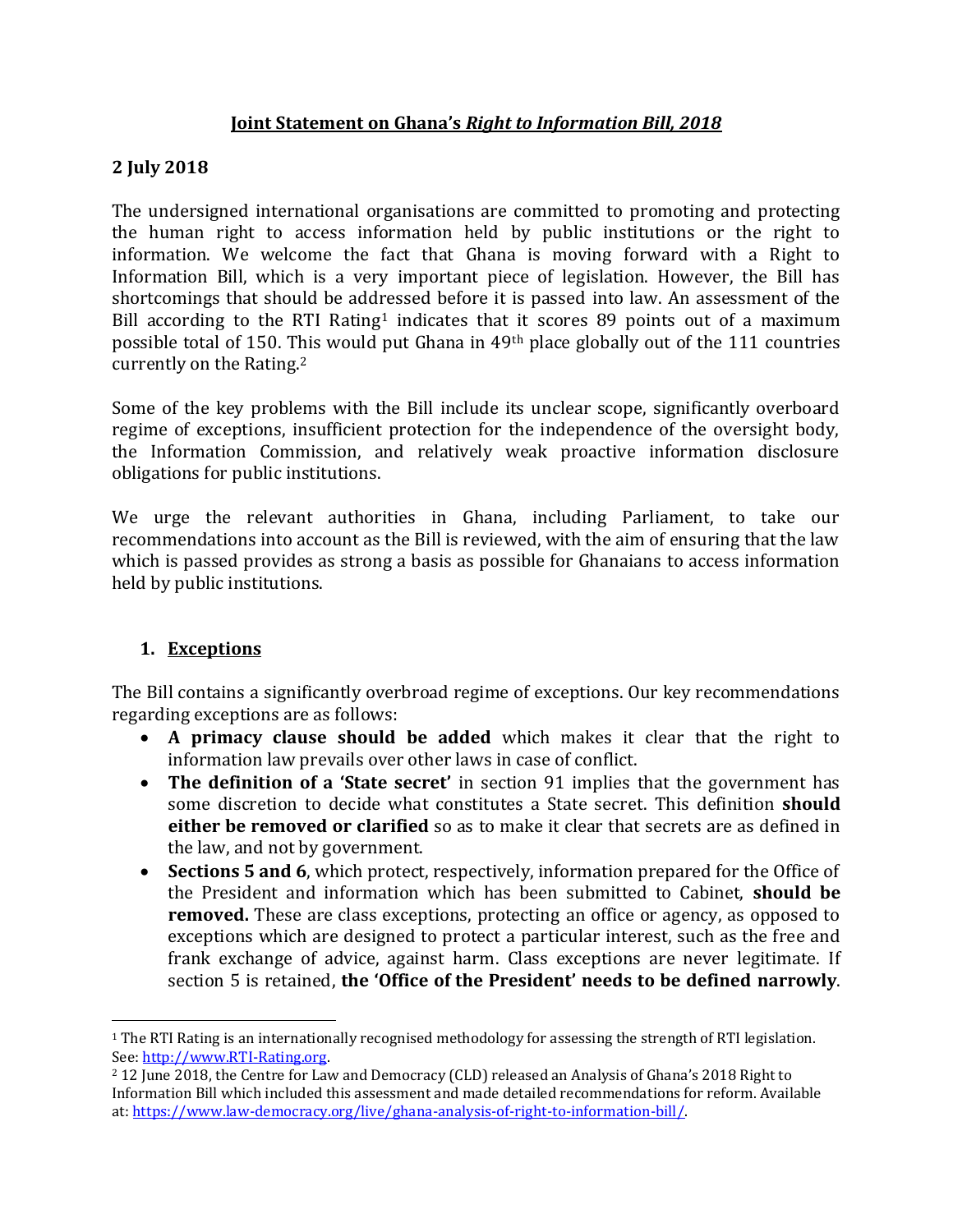### **Joint Statement on Ghana's** *Right to Information Bill, 2018*

### **2 July 2018**

The undersigned international organisations are committed to promoting and protecting the human right to access information held by public institutions or the right to information. We welcome the fact that Ghana is moving forward with a Right to Information Bill, which is a very important piece of legislation. However, the Bill has shortcomings that should be addressed before it is passed into law. An assessment of the Bill according to the RTI Rating<sup>1</sup> indicates that it scores 89 points out of a maximum possible total of 150. This would put Ghana in 49th place globally out of the 111 countries currently on the Rating.<sup>2</sup>

Some of the key problems with the Bill include its unclear scope, significantly overboard regime of exceptions, insufficient protection for the independence of the oversight body, the Information Commission, and relatively weak proactive information disclosure obligations for public institutions.

We urge the relevant authorities in Ghana, including Parliament, to take our recommendations into account as the Bill is reviewed, with the aim of ensuring that the law which is passed provides as strong a basis as possible for Ghanaians to access information held by public institutions.

### **1. Exceptions**

 $\overline{a}$ 

The Bill contains a significantly overbroad regime of exceptions. Our key recommendations regarding exceptions are as follows:

- **A primacy clause should be added** which makes it clear that the right to information law prevails over other laws in case of conflict.
- **The definition of a 'State secret'** in section 91 implies that the government has some discretion to decide what constitutes a State secret. This definition **should either be removed or clarified** so as to make it clear that secrets are as defined in the law, and not by government.
- **Sections 5 and 6**, which protect, respectively, information prepared for the Office of the President and information which has been submitted to Cabinet, **should be removed.** These are class exceptions, protecting an office or agency, as opposed to exceptions which are designed to protect a particular interest, such as the free and frank exchange of advice, against harm. Class exceptions are never legitimate. If section 5 is retained, **the 'Office of the President' needs to be defined narrowly**.

<sup>1</sup> The RTI Rating is an internationally recognised methodology for assessing the strength of RTI legislation. See[: http://www.RTI-Rating.org.](http://www.rti-rating.org/)

<sup>2</sup> 12 June 2018, the Centre for Law and Democracy (CLD) released an Analysis of Ghana's 2018 Right to Information Bill which included this assessment and made detailed recommendations for reform. Available at[: https://www.law-democracy.org/live/ghana-analysis-of-right-to-information-bill/.](https://www.law-democracy.org/live/ghana-analysis-of-right-to-information-bill/)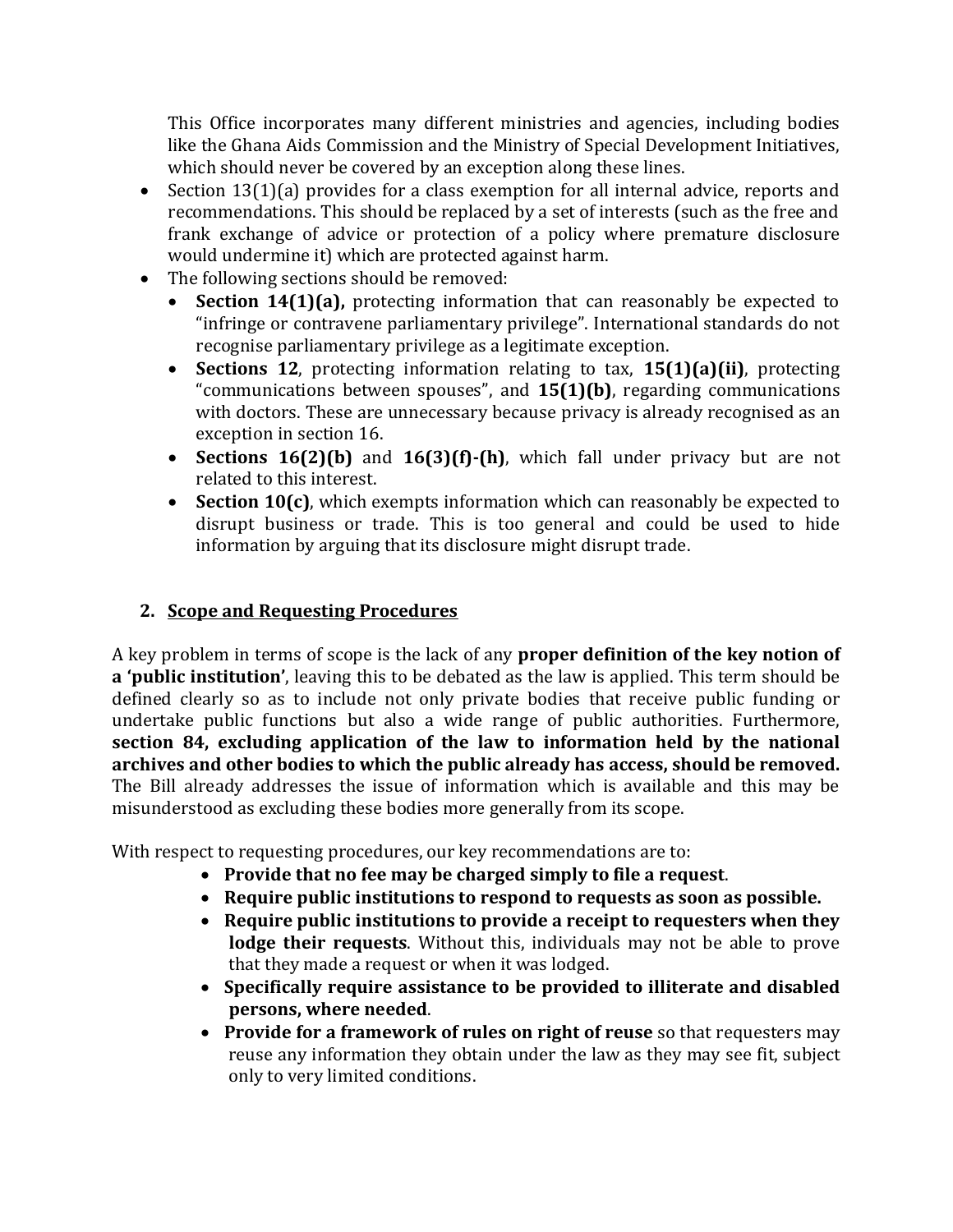This Office incorporates many different ministries and agencies, including bodies like the Ghana Aids Commission and the Ministry of Special Development Initiatives, which should never be covered by an exception along these lines.

- Section 13(1)(a) provides for a class exemption for all internal advice, reports and recommendations. This should be replaced by a set of interests (such as the free and frank exchange of advice or protection of a policy where premature disclosure would undermine it) which are protected against harm.
- The following sections should be removed:
	- **Section 14(1)(a),** protecting information that can reasonably be expected to "infringe or contravene parliamentary privilege". International standards do not recognise parliamentary privilege as a legitimate exception.
	- **Sections 12**, protecting information relating to tax, **15(1)(a)(ii)**, protecting "communications between spouses", and **15(1)(b)**, regarding communications with doctors. These are unnecessary because privacy is already recognised as an exception in section 16.
	- **Sections 16(2)(b)** and **16(3)(f)-(h)**, which fall under privacy but are not related to this interest.
	- **Section 10(c)**, which exempts information which can reasonably be expected to disrupt business or trade. This is too general and could be used to hide information by arguing that its disclosure might disrupt trade.

### **2. Scope and Requesting Procedures**

A key problem in terms of scope is the lack of any **proper definition of the key notion of a 'public institution'**, leaving this to be debated as the law is applied. This term should be defined clearly so as to include not only private bodies that receive public funding or undertake public functions but also a wide range of public authorities. Furthermore, **section 84, excluding application of the law to information held by the national archives and other bodies to which the public already has access, should be removed.** The Bill already addresses the issue of information which is available and this may be misunderstood as excluding these bodies more generally from its scope.

With respect to requesting procedures, our key recommendations are to:

- **Provide that no fee may be charged simply to file a request**.
- **Require public institutions to respond to requests as soon as possible.**
- **Require public institutions to provide a receipt to requesters when they lodge their requests**. Without this, individuals may not be able to prove that they made a request or when it was lodged.
- **Specifically require assistance to be provided to illiterate and disabled persons, where needed**.
- **Provide for a framework of rules on right of reuse** so that requesters may reuse any information they obtain under the law as they may see fit, subject only to very limited conditions.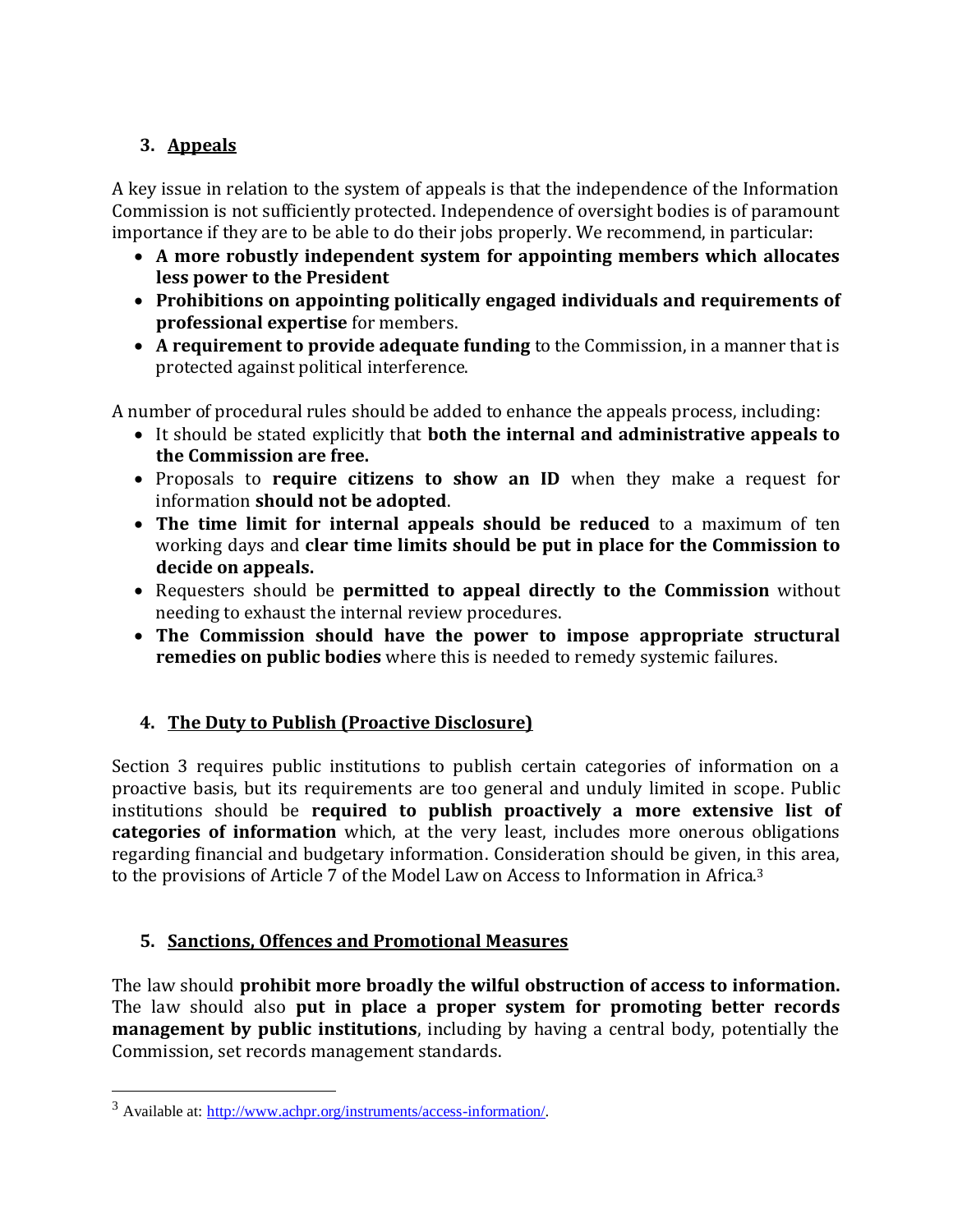# **3. Appeals**

A key issue in relation to the system of appeals is that the independence of the Information Commission is not sufficiently protected. Independence of oversight bodies is of paramount importance if they are to be able to do their jobs properly. We recommend, in particular:

- **A more robustly independent system for appointing members which allocates less power to the President**
- **Prohibitions on appointing politically engaged individuals and requirements of professional expertise** for members.
- **A requirement to provide adequate funding** to the Commission, in a manner that is protected against political interference.

A number of procedural rules should be added to enhance the appeals process, including:

- It should be stated explicitly that **both the internal and administrative appeals to the Commission are free.**
- Proposals to **require citizens to show an ID** when they make a request for information **should not be adopted**.
- **The time limit for internal appeals should be reduced** to a maximum of ten working days and **clear time limits should be put in place for the Commission to decide on appeals.**
- Requesters should be **permitted to appeal directly to the Commission** without needing to exhaust the internal review procedures.
- **The Commission should have the power to impose appropriate structural remedies on public bodies** where this is needed to remedy systemic failures.

## **4. The Duty to Publish (Proactive Disclosure)**

Section 3 requires public institutions to publish certain categories of information on a proactive basis, but its requirements are too general and unduly limited in scope. Public institutions should be **required to publish proactively a more extensive list of categories of information** which, at the very least, includes more onerous obligations regarding financial and budgetary information. Consideration should be given, in this area, to the provisions of Article 7 of the Model Law on Access to Information in Africa.<sup>3</sup>

## **5. Sanctions, Offences and Promotional Measures**

The law should **prohibit more broadly the wilful obstruction of access to information.** The law should also **put in place a proper system for promoting better records management by public institutions**, including by having a central body, potentially the Commission, set records management standards.

 $\overline{a}$ 

<sup>3</sup> Available at: [http://www.achpr.org/instruments/access-information/.](http://www.achpr.org/instruments/access-information/)